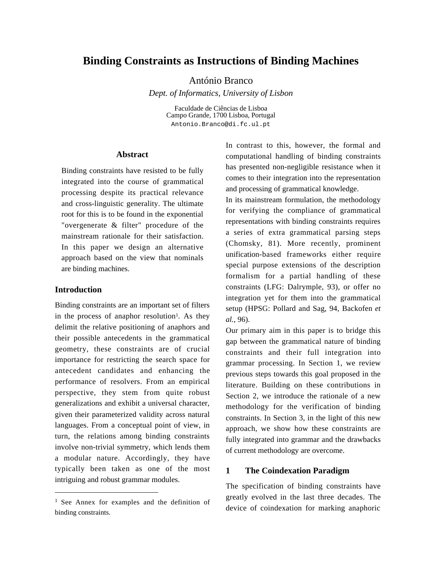# **Binding Constraints as Instructions of Binding Machines**

António Branco

*Dept. of Informatics, University of Lisbon*

Faculdade de Ciências de Lisboa Campo Grande, 1700 Lisboa, Portugal Antonio.Branco@di.fc.ul.pt

### **Abstract**

Binding constraints have resisted to be fully integrated into the course of grammatical processing despite its practical relevance and cross-linguistic generality. The ultimate root for this is to be found in the exponential "overgenerate & filter" procedure of the mainstream rationale for their satisfaction. In this paper we design an alternative approach based on the view that nominals are binding machines.

## **Introduction**

l

Binding constraints are an important set of filters in the process of anaphor resolution<sup>1</sup>. As they delimit the relative positioning of anaphors and their possible antecedents in the grammatical geometry, these constraints are of crucial importance for restricting the search space for antecedent candidates and enhancing the performance of resolvers. From an empirical perspective, they stem from quite robust generalizations and exhibit a universal character, given their parameterized validity across natural languages. From a conceptual point of view, in turn, the relations among binding constraints involve non-trivial symmetry, which lends them a modular nature. Accordingly, they have typically been taken as one of the most intriguing and robust grammar modules.

In contrast to this, however, the formal and computational handling of binding constraints has presented non-negligible resistance when it comes to their integration into the representation and processing of grammatical knowledge.

In its mainstream formulation, the methodology for verifying the compliance of grammatical representations with binding constraints requires a series of extra grammatical parsing steps (Chomsky, 81). More recently, prominent unification-based frameworks either require special purpose extensions of the description formalism for a partial handling of these constraints (LFG: Dalrymple, 93), or offer no integration yet for them into the grammatical setup (HPSG: Pollard and Sag, 94, Backofen *et al.*, 96).

Our primary aim in this paper is to bridge this gap between the grammatical nature of binding constraints and their full integration into grammar processing. In Section 1, we review previous steps towards this goal proposed in the literature. Building on these contributions in Section 2, we introduce the rationale of a new methodology for the verification of binding constraints. In Section 3, in the light of this new approach, we show how these constraints are fully integrated into grammar and the drawbacks of current methodology are overcome.

## **1 The Coindexation Paradigm**

The specification of binding constraints have greatly evolved in the last three decades. The device of coindexation for marking anaphoric

<sup>&</sup>lt;sup>1</sup> See Annex for examples and the definition of binding constraints.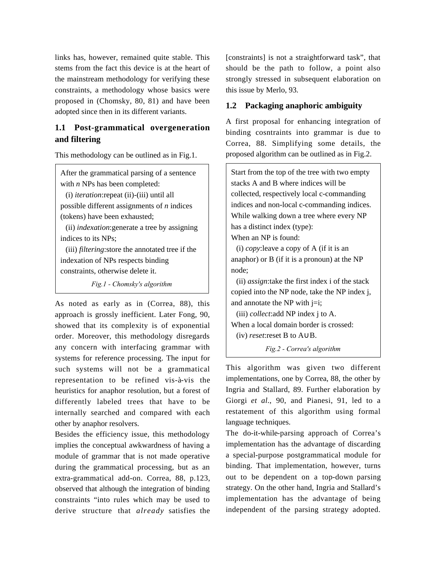links has, however, remained quite stable. This stems from the fact this device is at the heart of the mainstream methodology for verifying these constraints, a methodology whose basics were proposed in (Chomsky, 80, 81) and have been adopted since then in its different variants.

## **1.1 Post-grammatical overgeneration and filtering**

This methodology can be outlined as in Fig.1.

After the grammatical parsing of a sentence with *n* NPs has been completed:

(i) *iteration*:repeat (ii)-(iii) until all possible different assignments of *n* indices (tokens) have been exhausted;

(ii) *indexation*:generate a tree by assigning indices to its NPs;

(iii) *filtering*:store the annotated tree if the indexation of NPs respects binding constraints, otherwise delete it.

Fig.1 - Chomsky's algorithm

As noted as early as in (Correa, 88), this approach is grossly inefficient. Later Fong, 90, showed that its complexity is of exponential order. Moreover, this methodology disregards any concern with interfacing grammar with systems for reference processing. The input for such systems will not be a grammatical representation to be refined vis-à-vis the heuristics for anaphor resolution, but a forest of differently labeled trees that have to be internally searched and compared with each other by anaphor resolvers.

Besides the efficiency issue, this methodology implies the conceptual awkwardness of having a module of grammar that is not made operative during the grammatical processing, but as an extra-grammatical add-on. Correa, 88, p.123, observed that although the integration of binding constraints "into rules which may be used to derive structure that *already* satisfies the [constraints] is not a straightforward task", that should be the path to follow, a point also strongly stressed in subsequent elaboration on this issue by Merlo, 93.

## **1.2 Packaging anaphoric ambiguity**

A first proposal for enhancing integration of binding cosntraints into grammar is due to Correa, 88. Simplifying some details, the proposed algorithm can be outlined as in Fig.2.

Start from the top of the tree with two empty stacks A and B where indices will be collected, respectively local c-commanding indices and non-local c-commanding indices. While walking down a tree where every NP has a distinct index (type):

When an NP is found:

(i) *copy*:leave a copy of A (if it is an anaphor) or B (if it is a pronoun) at the NP node;

(ii) *assign*:take the first index i of the stack copied into the NP node, take the NP index j, and annotate the NP with  $j=i$ ;

(iii) *collect*:add NP index j to A. When a local domain border is crossed:

(iv) *reset*:reset B to A∪B.

Fig.2 - Correa's algorithm

This algorithm was given two different implementations, one by Correa, 88, the other by Ingria and Stallard, 89. Further elaboration by Giorgi *et al.*, 90, and Pianesi, 91, led to a restatement of this algorithm using formal language techniques.

The do-it-while-parsing approach of Correa's implementation has the advantage of discarding a special-purpose postgrammatical module for binding. That implementation, however, turns out to be dependent on a top-down parsing strategy. On the other hand, Ingria and Stallard's implementation has the advantage of being independent of the parsing strategy adopted.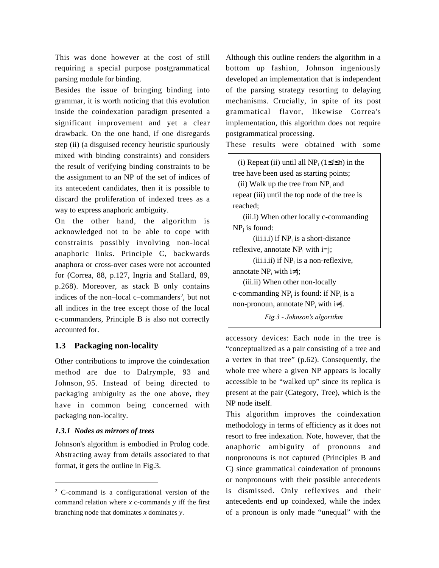This was done however at the cost of still requiring a special purpose postgrammatical parsing module for binding.

Besides the issue of bringing binding into grammar, it is worth noticing that this evolution inside the coindexation paradigm presented a significant improvement and yet a clear drawback. On the one hand, if one disregards step (ii) (a disguised recency heuristic spuriously mixed with binding constraints) and considers the result of verifying binding constraints to be the assignment to an NP of the set of indices of its antecedent candidates, then it is possible to discard the proliferation of indexed trees as a way to express anaphoric ambiguity.

On the other hand, the algorithm is acknowledged not to be able to cope with constraints possibly involving non-local anaphoric links. Principle C, backwards anaphora or cross-over cases were not accounted for (Correa, 88, p.127, Ingria and Stallard, 89, p.268). Moreover, as stack B only contains indices of the non–local c–commanders<sup>2</sup>, but not all indices in the tree except those of the local c-commanders, Principle B is also not correctly accounted for.

## **1.3 Packaging non-locality**

Other contributions to improve the coindexation method are due to Dalrymple, 93 and Johnson, 95. Instead of being directed to packaging ambiguity as the one above, they have in common being concerned with packaging non-locality.

#### *1.3.1 Nodes as mirrors of trees*

 $\overline{a}$ 

Johnson's algorithm is embodied in Prolog code. Abstracting away from details associated to that format, it gets the outline in Fig.3.

Although this outline renders the algorithm in a bottom up fashion, Johnson ingeniously developed an implementation that is independent of the parsing strategy resorting to delaying mechanisms. Crucially, in spite of its post grammatical flavor, likewise Correa's implementation, this algorithm does not require postgrammatical processing.

These results were obtained with some

(i) Repeat (ii) until all  $NP_i$  ( $1 \le i \le n$ ) in the tree have been used as starting points;

(ii) Walk up the tree from  $NP_i$  and repeat (iii) until the top node of the tree is reached;

(iii.i) When other locally c-commanding  $NP<sub>j</sub>$  is found:

 $(iii.i.i)$  if  $NP_i$  is a short-distance reflexive, annotate  $NP_i$  with i=j;

 $(iii.i.ii)$  if  $NP<sub>i</sub>$  is a non-reflexive, annotate  $NP_i$  with  $i\neq j$ ;

(iii.ii) When other non-locally c-commanding  $NP_j$  is found: if  $NP_i$  is a non-pronoun, annotate  $NP_i$  with  $i\neq j$ .

Fig.3 - Johnson's algorithm

accessory devices: Each node in the tree is "conceptualized as a pair consisting of a tree and a vertex in that tree" (p.62). Consequently, the whole tree where a given NP appears is locally accessible to be "walked up" since its replica is present at the pair (Category, Tree), which is the NP node itself.

This algorithm improves the coindexation methodology in terms of efficiency as it does not resort to free indexation. Note, however, that the anaphoric ambiguity of pronouns and nonpronouns is not captured (Principles B and C) since grammatical coindexation of pronouns or nonpronouns with their possible antecedents is dismissed. Only reflexives and their antecedents end up coindexed, while the index of a pronoun is only made "unequal" with the

<sup>&</sup>lt;sup>2</sup> C-command is a configurational version of the command relation where *x* c-commands *y* iff the first branching node that dominates *x* dominates *y*.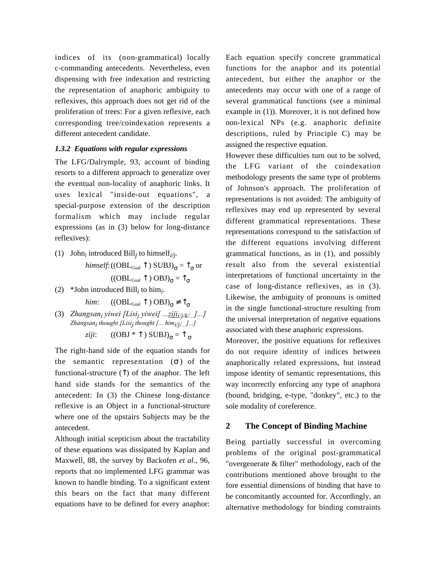indices of its (non-grammatical) locally c-commanding antecedents. Nevertheless, even dispensing with free indexation and restricting the representation of anaphoric ambiguity to reflexives, this approach does not get rid of the proliferation of trees: For a given reflexive, each corresponding tree/coindexation represents a different antecedent candidate.

## *1.3.2 Equations with regular expressions*

The LFG/Dalrymple, 93, account of binding resorts to a different approach to generalize over the eventual non-locality of anaphoric links. It uses lexical "inside-out equations", a special-purpose extension of the description formalism which may include regular expressions (as in (3) below for long-distance reflexives):

- (1) John<sub>i</sub> introduced Bill<sub>j</sub> to himself<sub>i/j</sub>. *himself*: (( $\mathrm{OBL}_\mathrm{Goal} \uparrow$ )  $\mathrm{SUBJ)}_{\sigma} = \uparrow_{\sigma}$  or  $((OBL_{Goal} \uparrow) OBJ)_{\sigma} = \uparrow_{\sigma}$
- (2) \*John introduced Bill<sub>i</sub> to him<sub>i</sub>.

*him*:  $((OBL_{\text{Goal}} \uparrow) OBJ)_{\sigma} \neq \uparrow_{\sigma}$ 

(3) Zhangsan<sub>i</sub> yiwei [Lisi<sub>j</sub> yiwei[ ...<u>ziji<sub>i/j/k/...</u>]...]</u></sub> Zhangsan<sub>i</sub> thought [Lisi<sub>j</sub> thought [... him<sub>i/j/...</sub>]...] *ziji*:  $((OBJ * T) SUBJ)_{\sigma} = T_{\sigma}$ 

The right-hand side of the equation stands for the semantic representation  $(\sigma)$  of the functional-structure  $($  $)$  of the anaphor. The left hand side stands for the semantics of the antecedent: In (3) the Chinese long-distance reflexive is an Object in a functional-structure where one of the upstairs Subjects may be the antecedent.

Although initial scepticism about the tractability of these equations was dissipated by Kaplan and Maxwell, 88, the survey by Backofen *et al.*, 96, reports that no implemented LFG grammar was known to handle binding. To a significant extent this bears on the fact that many different equations have to be defined for every anaphor: Each equation specify concrete grammatical functions for the anaphor and its potential antecedent, but either the anaphor or the antecedents may occur with one of a range of several grammatical functions (see a minimal example in (1)). Moreover, it is not defined how non-lexical NPs (e.g. anaphoric definite descriptions, ruled by Principle C) may be assigned the respective equation.

However these difficulties turn out to be solved, the LFG variant of the coindexation methodology presents the same type of problems of Johnson's approach. The proliferation of representations is not avoided: The ambiguity of reflexives may end up represented by several different grammatical representations. These representations correspond to the satisfaction of the different equations involving different grammatical functions, as in (1), and possibly result also from the several existential interpretations of functional uncertainty in the case of long-distance reflexives, as in (3). Likewise, the ambiguity of pronouns is omitted in the single functional-structure resulting from the universal interpretation of negative equations associated with these anaphoric expressions.

Moreover, the positive equations for reflexives do not require identity of indices between anaphorically related expressions, but instead impose identity of semantic representations, this way incorrectly enforcing any type of anaphora (bound, bridging, e-type, "donkey", etc.) to the sole modality of coreference.

## **2 The Concept of Binding Machine**

Being partially successful in overcoming problems of the original post-grammatical "overgenerate & filter" methodology, each of the contributions mentioned above brought to the fore essential dimensions of binding that have to be concomitantly accounted for. Accordingly, an alternative methodology for binding constraints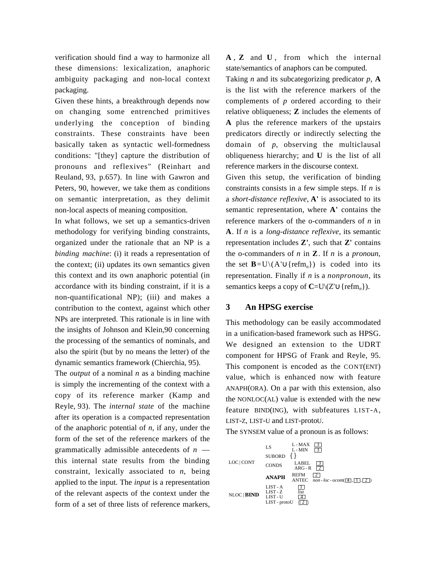verification should find a way to harmonize all these dimensions: lexicalization, anaphoric ambiguity packaging and non-local context packaging.

Given these hints, a breakthrough depends now on changing some entrenched primitives underlying the conception of binding constraints. These constraints have been basically taken as syntactic well-formedness conditions: "[they] capture the distribution of pronouns and reflexives" (Reinhart and Reuland, 93, p.657). In line with Gawron and Peters, 90, however, we take them as conditions on semantic interpretation, as they delimit non-local aspects of meaning composition.

In what follows, we set up a semantics-driven methodology for verifying binding constraints, organized under the rationale that an NP is a *binding machine*: (i) it reads a representation of the context; (ii) updates its own semantics given this context and its own anaphoric potential (in accordance with its binding constraint, if it is a non-quantificational NP); (iii) and makes a contribution to the context, against which other NPs are interpreted. This rationale is in line with the insights of Johnson and Klein,90 concerning the processing of the semantics of nominals, and also the spirit (but by no means the letter) of the dynamic semantics framework (Chierchia, 95).

The *output* of a nominal *n* as a binding machine is simply the incrementing of the context with a copy of its reference marker (Kamp and Reyle, 93). The *internal state* of the machine after its operation is a compacted representation of the anaphoric potential of *n*, if any, under the form of the set of the reference markers of the grammatically admissible antecedents of *n* this internal state results from the binding constraint, lexically associated to *n*, being applied to the input. The *input* is a representation of the relevant aspects of the context under the form of a set of three lists of reference markers, **A** , **Z** and **U** , from which the internal state/semantics of anaphors can be computed.

Taking *n* and its subcategorizing predicator *p*, **A** is the list with the reference markers of the complements of *p* ordered according to their relative obliqueness; **Z** includes the elements of **A** plus the reference markers of the upstairs predicators directly or indirectly selecting the domain of *p*, observing the multiclausal obliqueness hierarchy; and **U** is the list of all reference markers in the discourse context.

Given this setup, the verification of binding constraints consists in a few simple steps. If *n* is a *short-distance reflexive*, **A'** is associated to its semantic representation, where **A'** contains the reference markers of the o-commanders of *n* in **A**. If *n* is a *long-distance reflexive*, its semantic representation includes **Z'**, such that **Z'** contains the o-commanders of *n* in **Z**. If *n* is a *pronoun*, the set **B**=U\( $A' \cup \{refm_n\}$ ) is coded into its representation. Finally if *n* is a *nonpronoun*, its semantics keeps a copy of **C**=U\(Z'∪{refm<sub>n</sub>}).

## **3 An HPSG exercise**

This methodology can be easily accommodated in a unification-based framework such as HPSG. We designed an extension to the UDRT component for HPSG of Frank and Reyle, 95. This component is encoded as the CONT(ENT) value, which is enhanced now with feature ANAPH(ORA). On a par with this extension, also the NONLOC(AL) value is extended with the new feature BIND(ING), with subfeatures LIST-A, LIST-Z, LIST-U and LIST-protoU.



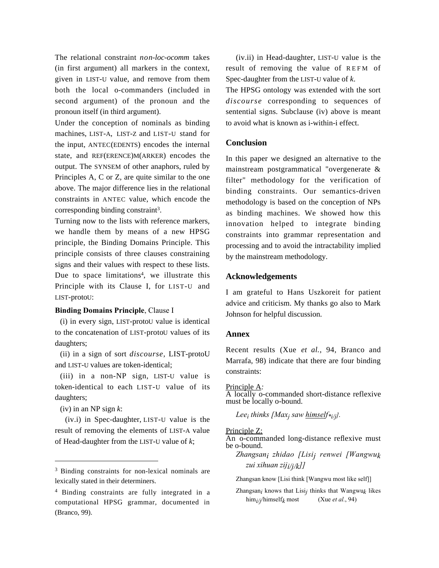The relational constraint *non-loc-ocomm* takes (in first argument) all markers in the context, given in LIST-U value, and remove from them both the local o-commanders (included in second argument) of the pronoun and the pronoun itself (in third argument).

Under the conception of nominals as binding machines, LIST-A, LIST-Z and LIST-U stand for the input, ANTEC(EDENTS) encodes the internal state, and REF(ERENCE)M(ARKER) encodes the output. The SYNSEM of other anaphors, ruled by Principles A, C or Z, are quite similar to the one above. The major difference lies in the relational constraints in ANTEC value, which encode the corresponding binding constraint<sup>3</sup>.

Turning now to the lists with reference markers, we handle them by means of a new HPSG principle, the Binding Domains Principle. This principle consists of three clauses constraining signs and their values with respect to these lists. Due to space limitations<sup>4</sup>, we illustrate this Principle with its Clause I, for LIST-U and LIST-protoU:

#### Binding Domains Principle, Clause I

(i) in every sign, LIST-protoU value is identical to the concatenation of LIST-protoU values of its daughters;

(ii) in a sign of sort *discourse,* LIST-protoU and LIST-U values are token-identical;

(iii) in a non-NP sign, LIST-U value is token-identical to each LIST-U value of its daughters;

(iv) in an NP sign *k*:

l

(iv.i) in Spec-daughter, LIST-U value is the result of removing the elements of LIST-A value of Head-daughter from the LIST-U value of *k*;

(iv.ii) in Head-daughter, LIST-U value is the result of removing the value of REFM of Spec-daughter from the LIST-U value of *k*.

The HPSG ontology was extended with the sort *discourse* corresponding to sequences of sentential signs. Subclause (iv) above is meant to avoid what is known as i-within-i effect.

## **Conclusion**

In this paper we designed an alternative to the mainstream postgrammatical "overgenerate & filter" methodology for the verification of binding constraints. Our semantics-driven methodology is based on the conception of NPs as binding machines. We showed how this innovation helped to integrate binding constraints into grammar representation and processing and to avoid the intractability implied by the mainstream methodology.

#### **Acknowledgements**

I am grateful to Hans Uszkoreit for patient advice and criticism. My thanks go also to Mark Johnson for helpful discussion.

#### **Annex**

Recent results (Xue *et al.*, 94, Branco and Marrafa, 98) indicate that there are four binding constraints:

#### Principle A*:*

A locally o-commanded short-distance reflexive must be locally o-bound.

Lee<sub>i</sub> thinks [Max<sub>j</sub> saw <u>himself\*<sub>i/j</sub>]</u>.

#### Principle Z:

An o-commanded long-distance reflexive must be o-bound.

Zhangsan<sub>i</sub> zhidao [Lisi<sub>j</sub> renwei [Wangwu<sub>k</sub> zui xihuan zij $j / j / k$ ]

Zhangsan know [Lisi think [Wangwu most like self]]

<sup>&</sup>lt;sup>3</sup> Binding constraints for non-lexical nominals are lexically stated in their determiners.

<sup>4</sup> Binding constraints are fully integrated in a computational HPSG grammar, documented in (Branco, 99).

Zhangsan<sub>i</sub> knows that Lisi<sub>j</sub> thinks that Wangwu<sub>k</sub> likes him<sub>i/j</sub>/himself<sub>k</sub> most (Xue *et al.*, 94)